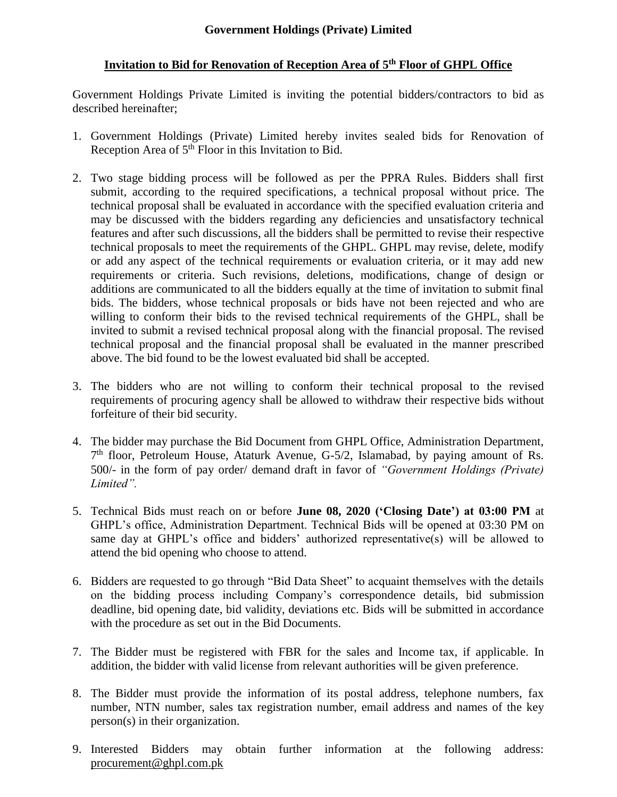## **Invitation to Bid for Renovation of Reception Area of 5th Floor of GHPL Office**

Government Holdings Private Limited is inviting the potential bidders/contractors to bid as described hereinafter;

- 1. Government Holdings (Private) Limited hereby invites sealed bids for Renovation of Reception Area of  $5<sup>th</sup>$  Floor in this Invitation to Bid.
- 2. Two stage bidding process will be followed as per the PPRA Rules. Bidders shall first submit, according to the required specifications, a technical proposal without price. The technical proposal shall be evaluated in accordance with the specified evaluation criteria and may be discussed with the bidders regarding any deficiencies and unsatisfactory technical features and after such discussions, all the bidders shall be permitted to revise their respective technical proposals to meet the requirements of the GHPL. GHPL may revise, delete, modify or add any aspect of the technical requirements or evaluation criteria, or it may add new requirements or criteria. Such revisions, deletions, modifications, change of design or additions are communicated to all the bidders equally at the time of invitation to submit final bids. The bidders, whose technical proposals or bids have not been rejected and who are willing to conform their bids to the revised technical requirements of the GHPL, shall be invited to submit a revised technical proposal along with the financial proposal. The revised technical proposal and the financial proposal shall be evaluated in the manner prescribed above. The bid found to be the lowest evaluated bid shall be accepted.
- 3. The bidders who are not willing to conform their technical proposal to the revised requirements of procuring agency shall be allowed to withdraw their respective bids without forfeiture of their bid security.
- 4. The bidder may purchase the Bid Document from GHPL Office, Administration Department, 7<sup>th</sup> floor, Petroleum House, Ataturk Avenue, G-5/2, Islamabad, by paying amount of Rs. 500/- in the form of pay order/ demand draft in favor of *"Government Holdings (Private) Limited".*
- 5. Technical Bids must reach on or before **June 08, 2020 ('Closing Date') at 03:00 PM** at GHPL's office, Administration Department. Technical Bids will be opened at 03:30 PM on same day at GHPL's office and bidders' authorized representative(s) will be allowed to attend the bid opening who choose to attend.
- 6. Bidders are requested to go through "Bid Data Sheet" to acquaint themselves with the details on the bidding process including Company's correspondence details, bid submission deadline, bid opening date, bid validity, deviations etc. Bids will be submitted in accordance with the procedure as set out in the Bid Documents.
- 7. The Bidder must be registered with FBR for the sales and Income tax, if applicable. In addition, the bidder with valid license from relevant authorities will be given preference.
- 8. The Bidder must provide the information of its postal address, telephone numbers, fax number, NTN number, sales tax registration number, email address and names of the key person(s) in their organization.
- 9. Interested Bidders may obtain further information at the following address: [procurement@ghpl.com.pk](mailto:procurement@ghpl.com.pk)